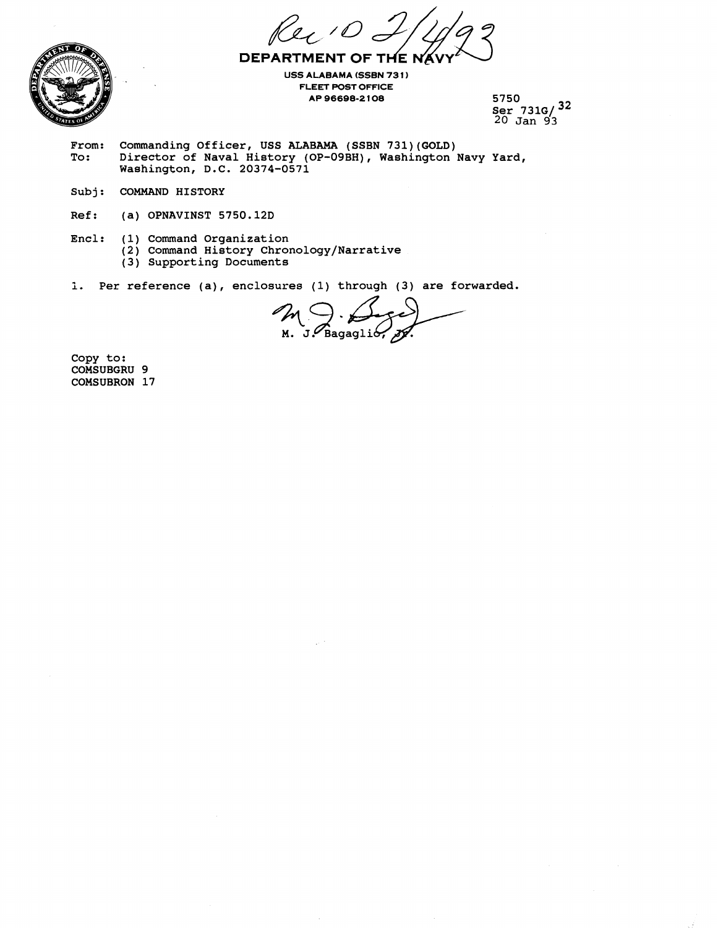**DEPARTMENT OF THE N** 



**USS ALABAMA (SSBN 731) FLEET POST OFFICE AP 96688-2 108 5750** 

**Ser 731G/ 32 20 Jan 93** 

- From: Commanding Officer, USS ALABAMA (SSBN 731)(GOLD)<br>To: Director of Naval History (OP-09BH), Washington **To: Director of Naval History (OP-09BH), Washington Navy Yard, Washington, D.C. 20374-0571**
- **Sub j** : **COMMAND HISTORY**
- **Ref: (a) OPNAVINST 5750.12D**
- **Encl: (1) Command Organization** 
	- **(2) Command History Chronology/Narrative**
	- **(3) Supporting Documents**
- **i. Per reference (a), enclosures (1) through (3) are forwarded.**

M J. Bagaglio

**Copy to: COMSUBGRU 9 COMSUBRON 17**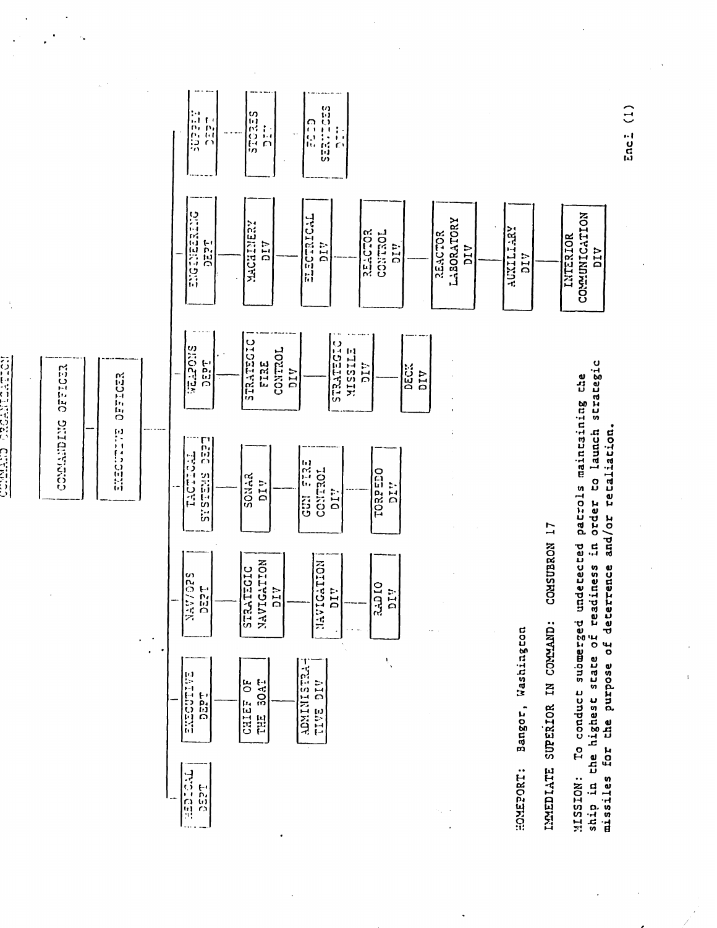